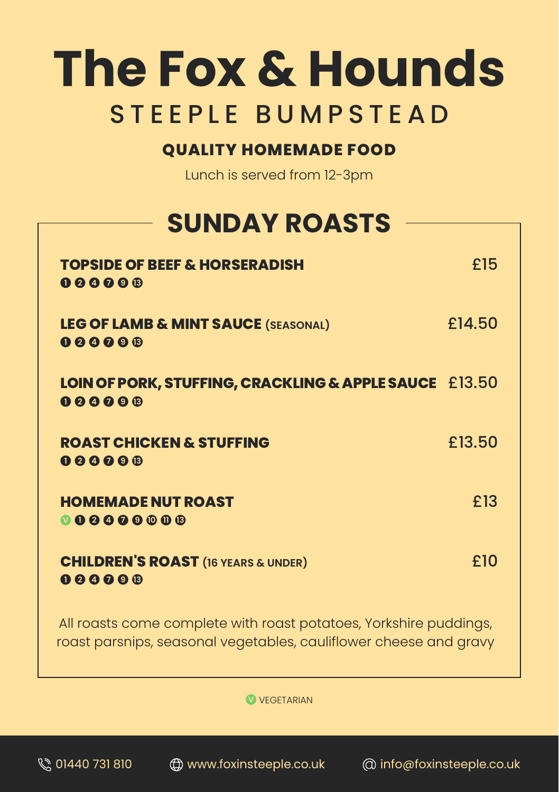# **The Fox & Hounds** STEEPLE BUMPSTEAD

#### **QUALITY HOMEMADE FOOD**

Lunch is served from 12-3pm

## **SUNDAY ROASTS**

| <b>TOPSIDE OF BEEF &amp; HORSERADISH</b><br>000000               | £15    |
|------------------------------------------------------------------|--------|
| <b>LEG OF LAMB &amp; MINT SAUCE (SEASONAL)</b><br>$000000$       | £14.50 |
| LOIN OF PORK, STUFFING, CRACKLING & APPLE SAUCE £13.50<br>000000 |        |
| <b>ROAST CHICKEN &amp; STUFFING</b><br>$000000$                  | £13.50 |
| <b>HOMEMADE NUT ROAST</b><br>000000000                           | £13    |
| <b>CHILDREN'S ROAST</b> (16 YEARS & UNDER)<br>$000000$           | £10    |
| All regate comes complete with regatingtatese Verkehire puddings |        |

All roasts come complete with roast potatoes, Yorkshire puddings, roast parsnips, seasonal vegetables, cauliflower cheese and gravy

**V** VEGETARIAN